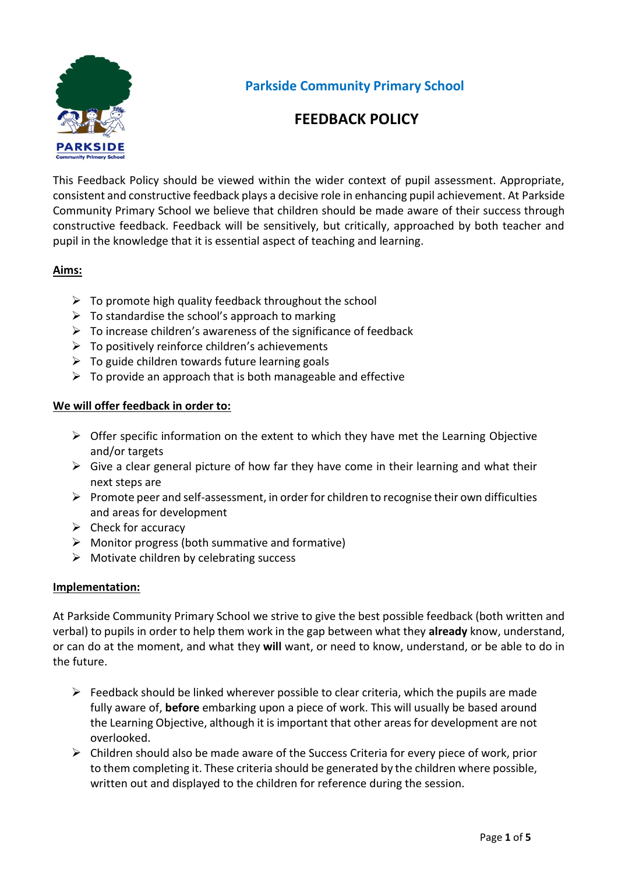

**Parkside Community Primary School**

### **FEEDBACK POLICY**

This Feedback Policy should be viewed within the wider context of pupil assessment. Appropriate, consistent and constructive feedback plays a decisive role in enhancing pupil achievement. At Parkside Community Primary School we believe that children should be made aware of their success through constructive feedback. Feedback will be sensitively, but critically, approached by both teacher and pupil in the knowledge that it is essential aspect of teaching and learning.

#### **Aims:**

- $\triangleright$  To promote high quality feedback throughout the school
- $\triangleright$  To standardise the school's approach to marking
- $\triangleright$  To increase children's awareness of the significance of feedback
- $\triangleright$  To positively reinforce children's achievements
- $\triangleright$  To guide children towards future learning goals
- $\triangleright$  To provide an approach that is both manageable and effective

#### **We will offer feedback in order to:**

- $\triangleright$  Offer specific information on the extent to which they have met the Learning Objective and/or targets
- $\triangleright$  Give a clear general picture of how far they have come in their learning and what their next steps are
- $\triangleright$  Promote peer and self-assessment, in order for children to recognise their own difficulties and areas for development
- $\triangleright$  Check for accuracy
- $\triangleright$  Monitor progress (both summative and formative)
- $\triangleright$  Motivate children by celebrating success

#### **Implementation:**

At Parkside Community Primary School we strive to give the best possible feedback (both written and verbal) to pupils in order to help them work in the gap between what they **already** know, understand, or can do at the moment, and what they **will** want, or need to know, understand, or be able to do in the future.

- $\triangleright$  Feedback should be linked wherever possible to clear criteria, which the pupils are made fully aware of, **before** embarking upon a piece of work. This will usually be based around the Learning Objective, although it is important that other areas for development are not overlooked.
- $\triangleright$  Children should also be made aware of the Success Criteria for every piece of work, prior to them completing it. These criteria should be generated by the children where possible, written out and displayed to the children for reference during the session.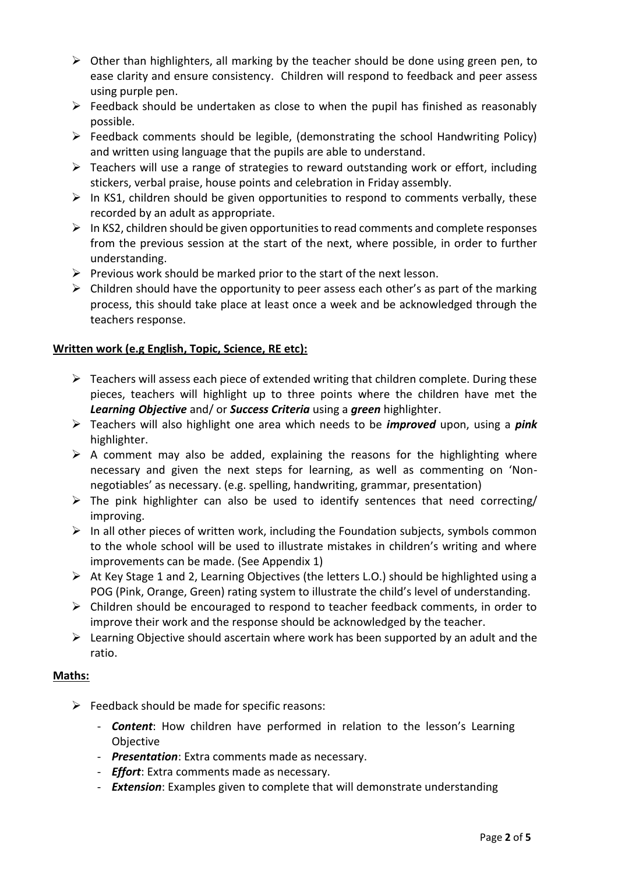- $\triangleright$  Other than highlighters, all marking by the teacher should be done using green pen, to ease clarity and ensure consistency. Children will respond to feedback and peer assess using purple pen.
- $\triangleright$  Feedback should be undertaken as close to when the pupil has finished as reasonably possible.
- $\triangleright$  Feedback comments should be legible, (demonstrating the school Handwriting Policy) and written using language that the pupils are able to understand.
- $\triangleright$  Teachers will use a range of strategies to reward outstanding work or effort, including stickers, verbal praise, house points and celebration in Friday assembly.
- $\triangleright$  In KS1, children should be given opportunities to respond to comments verbally, these recorded by an adult as appropriate.
- $\triangleright$  In KS2, children should be given opportunities to read comments and complete responses from the previous session at the start of the next, where possible, in order to further understanding.
- $\triangleright$  Previous work should be marked prior to the start of the next lesson.
- $\triangleright$  Children should have the opportunity to peer assess each other's as part of the marking process, this should take place at least once a week and be acknowledged through the teachers response.

#### **Written work (e.g English, Topic, Science, RE etc):**

- $\triangleright$  Teachers will assess each piece of extended writing that children complete. During these pieces, teachers will highlight up to three points where the children have met the *Learning Objective* and/ or *Success Criteria* using a *green* highlighter.
- Teachers will also highlight one area which needs to be *improved* upon, using a *pink* highlighter.
- $\triangleright$  A comment may also be added, explaining the reasons for the highlighting where necessary and given the next steps for learning, as well as commenting on 'Nonnegotiables' as necessary. (e.g. spelling, handwriting, grammar, presentation)
- $\triangleright$  The pink highlighter can also be used to identify sentences that need correcting/ improving.
- $\triangleright$  In all other pieces of written work, including the Foundation subjects, symbols common to the whole school will be used to illustrate mistakes in children's writing and where improvements can be made. (See Appendix 1)
- $\triangleright$  At Key Stage 1 and 2, Learning Objectives (the letters L.O.) should be highlighted using a POG (Pink, Orange, Green) rating system to illustrate the child's level of understanding.
- $\triangleright$  Children should be encouraged to respond to teacher feedback comments, in order to improve their work and the response should be acknowledged by the teacher.
- $\triangleright$  Learning Objective should ascertain where work has been supported by an adult and the ratio.

#### **Maths:**

- $\triangleright$  Feedback should be made for specific reasons:
	- *Content*: How children have performed in relation to the lesson's Learning Objective
	- *Presentation*: Extra comments made as necessary.
	- *Effort*: Extra comments made as necessary.
	- *Extension*: Examples given to complete that will demonstrate understanding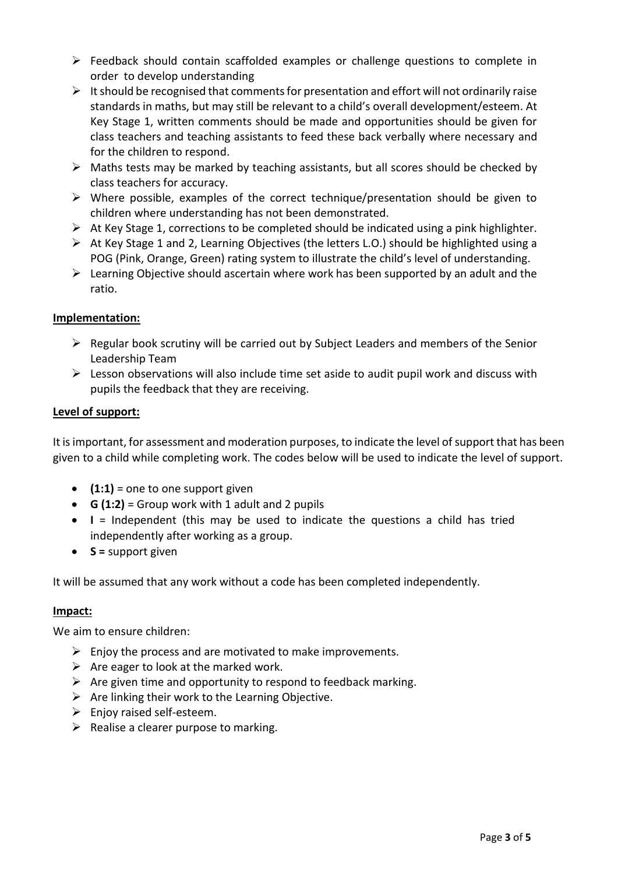- $\triangleright$  Feedback should contain scaffolded examples or challenge questions to complete in order to develop understanding
- $\triangleright$  It should be recognised that comments for presentation and effort will not ordinarily raise standards in maths, but may still be relevant to a child's overall development/esteem. At Key Stage 1, written comments should be made and opportunities should be given for class teachers and teaching assistants to feed these back verbally where necessary and for the children to respond.
- $\triangleright$  Maths tests may be marked by teaching assistants, but all scores should be checked by class teachers for accuracy.
- $\triangleright$  Where possible, examples of the correct technique/presentation should be given to children where understanding has not been demonstrated.
- $\triangleright$  At Key Stage 1, corrections to be completed should be indicated using a pink highlighter.
- At Key Stage 1 and 2, Learning Objectives (the letters L.O.) should be highlighted using a POG (Pink, Orange, Green) rating system to illustrate the child's level of understanding.
- $\triangleright$  Learning Objective should ascertain where work has been supported by an adult and the ratio.

#### **Implementation:**

- $\triangleright$  Regular book scrutiny will be carried out by Subject Leaders and members of the Senior Leadership Team
- $\triangleright$  Lesson observations will also include time set aside to audit pupil work and discuss with pupils the feedback that they are receiving.

#### **Level of support:**

It is important, for assessment and moderation purposes, to indicate the level of support that has been given to a child while completing work. The codes below will be used to indicate the level of support.

- **(1:1)** = one to one support given
- **G (1:2)** = Group work with 1 adult and 2 pupils
- **I** = Independent (this may be used to indicate the questions a child has tried independently after working as a group.
- **S =** support given

It will be assumed that any work without a code has been completed independently.

#### **Impact:**

We aim to ensure children:

- $\triangleright$  Enjoy the process and are motivated to make improvements.
- $\triangleright$  Are eager to look at the marked work.
- $\triangleright$  Are given time and opportunity to respond to feedback marking.
- $\triangleright$  Are linking their work to the Learning Objective.
- $\triangleright$  Enjoy raised self-esteem.
- $\triangleright$  Realise a clearer purpose to marking.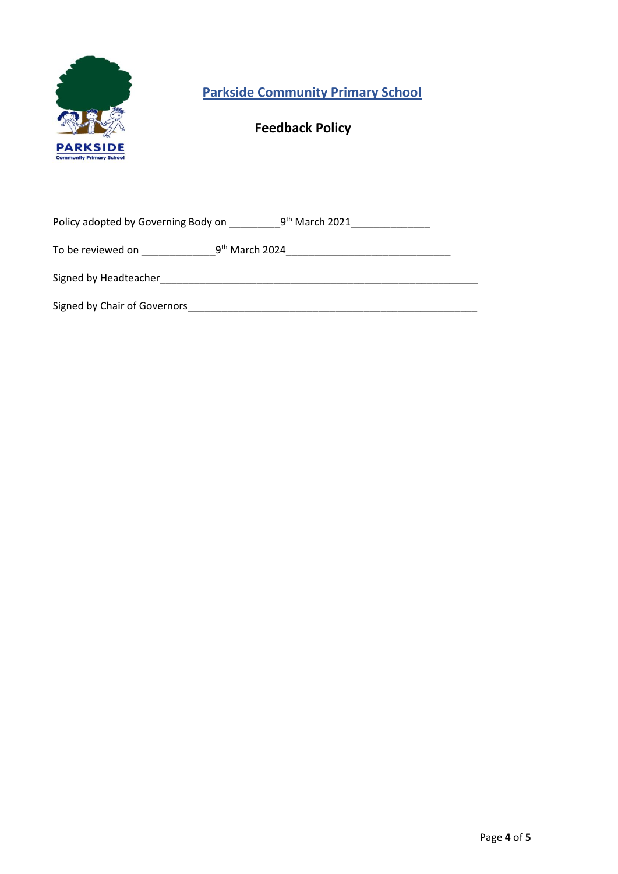

**Parkside Community Primary School**

# **Feedback Policy**

| 9 <sup>th</sup> March 2021<br>Policy adopted by Governing Body on |                  |
|-------------------------------------------------------------------|------------------|
| To be reviewed on                                                 | $9th$ March 2024 |
| Signed by Headteacher                                             |                  |
| Signed by Chair of Governors                                      |                  |